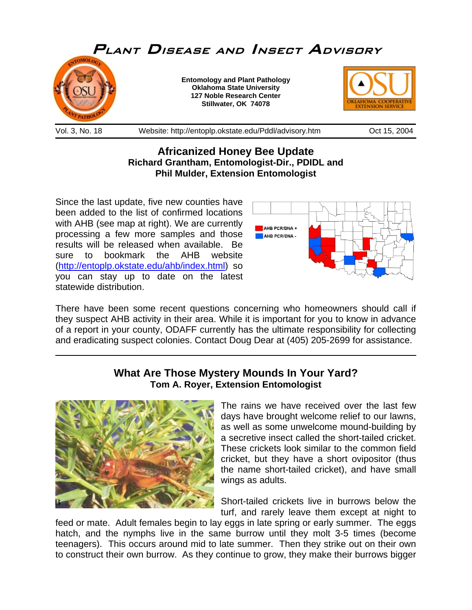

## **Africanized Honey Bee Update Richard Grantham, Entomologist-Dir., PDIDL and Phil Mulder, Extension Entomologist**

Since the last update, five new counties have been added to the list of confirmed locations with AHB (see map at right). We are currently processing a few more samples and those results will be released when available. Be sure to bookmark the AHB website (<http://entoplp.okstate.edu/ahb/index.html>) so you can stay up to date on the latest statewide distribution.



There have been some recent questions concerning who homeowners should call if they suspect AHB activity in their area. While it is important for you to know in advance of a report in your county, ODAFF currently has the ultimate responsibility for collecting and eradicating suspect colonies. Contact Doug Dear at (405) 205-2699 for assistance.

## **What Are Those Mystery Mounds In Your Yard? Tom A. Royer, Extension Entomologist**



 $\overline{a}$ 

The rains we have received over the last few days have brought welcome relief to our lawns, as well as some unwelcome mound-building by a secretive insect called the short-tailed cricket. These crickets look similar to the common field cricket, but they have a short ovipositor (thus the name short-tailed cricket), and have small wings as adults.

Short-tailed crickets live in burrows below the turf, and rarely leave them except at night to

feed or mate. Adult females begin to lay eggs in late spring or early summer. The eggs hatch, and the nymphs live in the same burrow until they molt 3-5 times (become teenagers). This occurs around mid to late summer. Then they strike out on their own to construct their own burrow. As they continue to grow, they make their burrows bigger